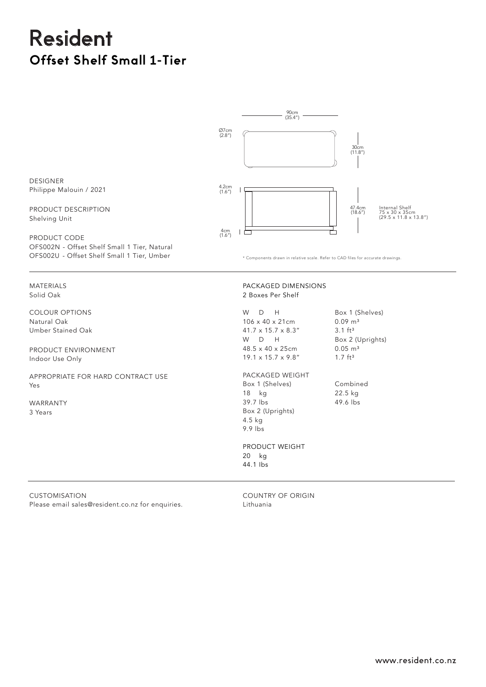## Resident **Offset Shelf Small 1-Tier**



PRODUCT WEIGHT

20 kg 44.1 Ibs

**CUSTOMISATION** Please email sales@resident.co.nz for enquiries.

COUNTRY OF ORIGIN Lithuania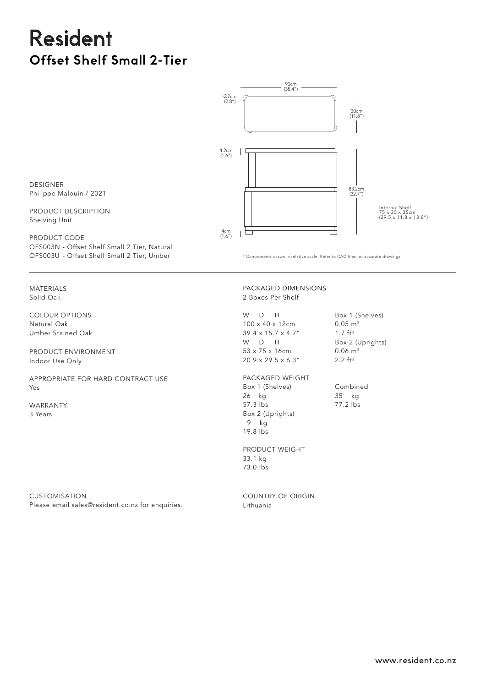# Resident **Offset Shelf Small 2-Tier**



\* Components drawn in relative scale. Refer to CAD files for accurate drawings.

DESIGNER Philippe Malouin / 2021

PRODUCT DESCRIPTION Shelving Unit

PRODUCT CODE OFS003N - Offset Shelf Small 2 Tier, Natural OFS003U - Offset Shelf Small 2 Tier, Umber

MATERIALS Solid Oak

COLOUR OPTIONS Natural Oak Umber Stained Oak

PRODUCT ENVIRONMENT Indoor Use Only

APPROPRIATE FOR HARD CONTRACT USE Yes

Please email sales@resident.co.nz for enquiries.

WARRANTY 3 Years

CUSTOMISATION

#### PACKAGED DIMENSIONS 2 Boxes Per Shelf

W D H 100 x 40 x 12cm 39.4 x 15.7 x 4.7" W D H 53 x 75 x 16cm 20.9 x 29.5 x 6.3"

Box 1 (Shelves)  $0.05 \, \text{m}^3$ 1.7  $ft^3$ Box 2 (Uprights) 0.06 m<sup>3</sup>

PACKAGED WEIGHT Box 1 (Shelves) 26 kg 57.3 lbs Box 2 (Uprights) 9 kg 19.8 lbs

 $2.2 \text{ ft}^3$ 

Combined 35 kg 77.2 lbs

PRODUCT WEIGHT 33.1 kg 73.0 Ibs

COUNTRY OF ORIGIN

Lithuania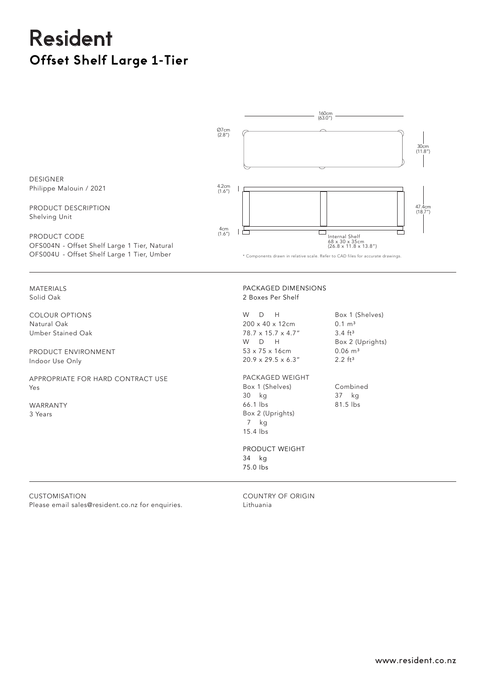# Resident **Offset Shelf Large 1-Tier**



PRODUCT WEIGHT 34 kg 75.0 Ibs

**CUSTOMISATION** Please email sales@resident.co.nz for enquiries.

COUNTRY OF ORIGIN Lithuania